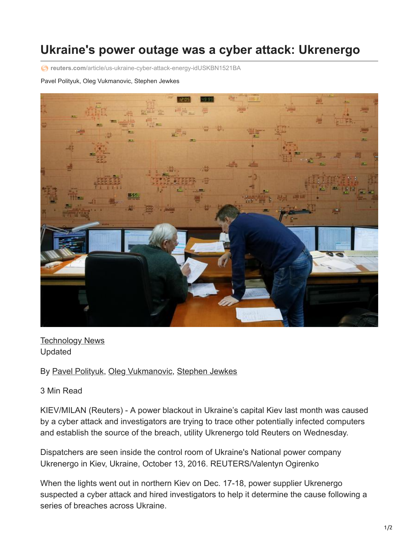## **Ukraine's power outage was a cyber attack: Ukrenergo**

**reuters.com**[/article/us-ukraine-cyber-attack-energy-idUSKBN1521BA](https://www.reuters.com/article/us-ukraine-cyber-attack-energy-idUSKBN1521BA)

## Pavel Polityuk, Oleg Vukmanovic, Stephen Jewkes



**[Technology News](https://www.reuters.com/news/archive/technologyNews)** Updated

By [Pavel Polityuk,](https://www.reuters.com/journalists/pavel-polityuk) [Oleg Vukmanovic,](https://www.reuters.com/journalists/oleg-vukmanovic) [Stephen Jewkes](https://www.reuters.com/journalists/stephen-jewkes)

3 Min Read

KIEV/MILAN (Reuters) - A power blackout in Ukraine's capital Kiev last month was caused by a cyber attack and investigators are trying to trace other potentially infected computers and establish the source of the breach, utility Ukrenergo told Reuters on Wednesday.

Dispatchers are seen inside the control room of Ukraine's National power company Ukrenergo in Kiev, Ukraine, October 13, 2016. REUTERS/Valentyn Ogirenko

When the lights went out in northern Kiev on Dec. 17-18, power supplier Ukrenergo suspected a cyber attack and hired investigators to help it determine the cause following a series of breaches across Ukraine.